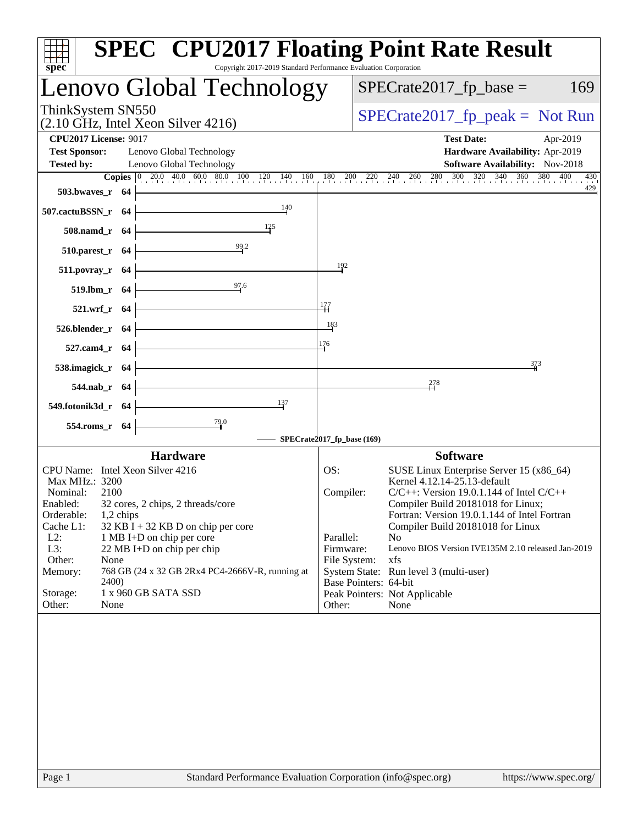| Copyright 2017-2019 Standard Performance Evaluation Corporation<br>$spec^*$                                                                                                                                                                                                                                                                                                                                                       | <b>SPEC<sup>®</sup> CPU2017 Floating Point Rate Result</b>                                                                                                                                                                                                                                                                                                                                                                                                                                                              |
|-----------------------------------------------------------------------------------------------------------------------------------------------------------------------------------------------------------------------------------------------------------------------------------------------------------------------------------------------------------------------------------------------------------------------------------|-------------------------------------------------------------------------------------------------------------------------------------------------------------------------------------------------------------------------------------------------------------------------------------------------------------------------------------------------------------------------------------------------------------------------------------------------------------------------------------------------------------------------|
| Lenovo Global Technology                                                                                                                                                                                                                                                                                                                                                                                                          | $SPECrate2017_fp\_base =$<br>169                                                                                                                                                                                                                                                                                                                                                                                                                                                                                        |
| ThinkSystem SN550<br>$(2.10 \text{ GHz}, \text{Intel Xeon Silver } 4216)$                                                                                                                                                                                                                                                                                                                                                         | $SPECTate2017_fp\_peak = Not Run$                                                                                                                                                                                                                                                                                                                                                                                                                                                                                       |
| <b>CPU2017 License: 9017</b><br><b>Test Sponsor:</b><br>Lenovo Global Technology<br><b>Tested by:</b><br>Lenovo Global Technology<br>503.bwaves_r 64                                                                                                                                                                                                                                                                              | <b>Test Date:</b><br>Apr-2019<br>Hardware Availability: Apr-2019<br>Software Availability: Nov-2018<br><b>Copies</b> 0 200 400 600 800 100 120 140 160 180 200 220 240 260 280 300 320 340 360 380 400 430                                                                                                                                                                                                                                                                                                              |
| 140<br>507.cactuBSSN_r 64                                                                                                                                                                                                                                                                                                                                                                                                         |                                                                                                                                                                                                                                                                                                                                                                                                                                                                                                                         |
| 125<br>508.namd_r 64                                                                                                                                                                                                                                                                                                                                                                                                              |                                                                                                                                                                                                                                                                                                                                                                                                                                                                                                                         |
| 99.2<br>$510.parest_r$ 64<br>511.povray_r 64                                                                                                                                                                                                                                                                                                                                                                                      | 192                                                                                                                                                                                                                                                                                                                                                                                                                                                                                                                     |
| 97.6<br>519.lbm_r 64                                                                                                                                                                                                                                                                                                                                                                                                              |                                                                                                                                                                                                                                                                                                                                                                                                                                                                                                                         |
| 521.wrf_r 64                                                                                                                                                                                                                                                                                                                                                                                                                      | 177                                                                                                                                                                                                                                                                                                                                                                                                                                                                                                                     |
| 526.blender_r 64                                                                                                                                                                                                                                                                                                                                                                                                                  | 183                                                                                                                                                                                                                                                                                                                                                                                                                                                                                                                     |
| 527.cam4_r 64                                                                                                                                                                                                                                                                                                                                                                                                                     | 176<br>373                                                                                                                                                                                                                                                                                                                                                                                                                                                                                                              |
| 538.imagick_r 64<br>544.nab_r 64                                                                                                                                                                                                                                                                                                                                                                                                  | 278                                                                                                                                                                                                                                                                                                                                                                                                                                                                                                                     |
| 137<br>549.fotonik3d_r 64                                                                                                                                                                                                                                                                                                                                                                                                         |                                                                                                                                                                                                                                                                                                                                                                                                                                                                                                                         |
| $\frac{79.0}{4}$<br>554.roms_r 64                                                                                                                                                                                                                                                                                                                                                                                                 |                                                                                                                                                                                                                                                                                                                                                                                                                                                                                                                         |
| <b>Hardware</b>                                                                                                                                                                                                                                                                                                                                                                                                                   | SPECrate2017_fp_base (169)<br><b>Software</b>                                                                                                                                                                                                                                                                                                                                                                                                                                                                           |
| CPU Name: Intel Xeon Silver 4216<br>Max MHz.: 3200<br>Nominal:<br>2100<br>Enabled:<br>32 cores, 2 chips, 2 threads/core<br>Orderable:<br>1,2 chips<br>Cache L1:<br>$32$ KB I + 32 KB D on chip per core<br>$L2$ :<br>1 MB I+D on chip per core<br>L3:<br>22 MB I+D on chip per chip<br>Other:<br>None<br>768 GB (24 x 32 GB 2Rx4 PC4-2666V-R, running at<br>Memory:<br>2400)<br>1 x 960 GB SATA SSD<br>Storage:<br>Other:<br>None | OS:<br>SUSE Linux Enterprise Server 15 (x86_64)<br>Kernel 4.12.14-25.13-default<br>Compiler:<br>$C/C++$ : Version 19.0.1.144 of Intel $C/C++$<br>Compiler Build 20181018 for Linux;<br>Fortran: Version 19.0.1.144 of Intel Fortran<br>Compiler Build 20181018 for Linux<br>Parallel:<br>N <sub>0</sub><br>Firmware:<br>Lenovo BIOS Version IVE135M 2.10 released Jan-2019<br>xfs<br>File System:<br>System State: Run level 3 (multi-user)<br>Base Pointers: 64-bit<br>Peak Pointers: Not Applicable<br>Other:<br>None |
| Page 1<br>Standard Performance Evaluation Corporation (info@spec.org)                                                                                                                                                                                                                                                                                                                                                             | https://www.spec.org/                                                                                                                                                                                                                                                                                                                                                                                                                                                                                                   |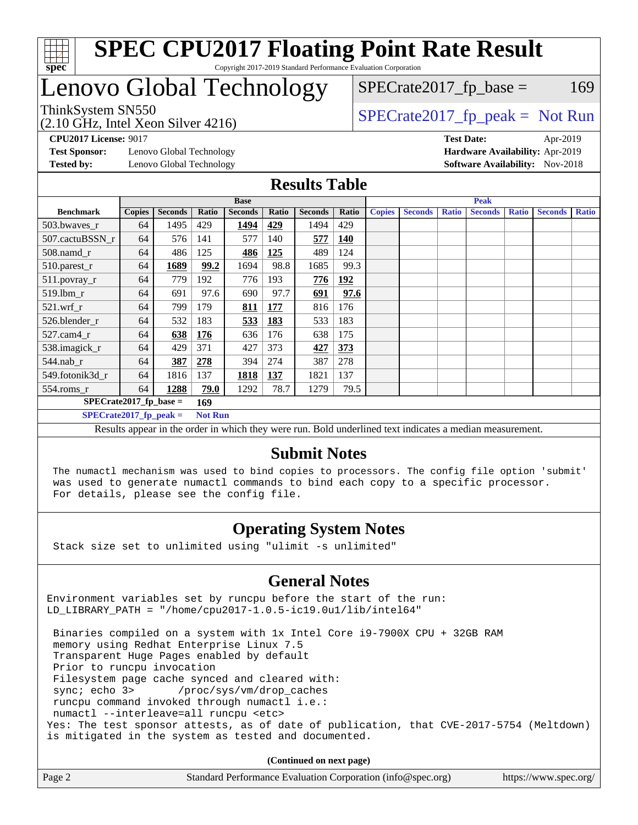

# Lenovo Global Technology

 $SPECTate2017<sub>fr</sub> base = 169$ 

(2.10 GHz, Intel Xeon Silver 4216)

ThinkSystem SN550<br>  $SPECTR_{12}$  [SPECrate2017\\_fp\\_peak =](http://www.spec.org/auto/cpu2017/Docs/result-fields.html#SPECrate2017fppeak) Not Run

**[Test Sponsor:](http://www.spec.org/auto/cpu2017/Docs/result-fields.html#TestSponsor)** Lenovo Global Technology **[Hardware Availability:](http://www.spec.org/auto/cpu2017/Docs/result-fields.html#HardwareAvailability)** Apr-2019 **[Tested by:](http://www.spec.org/auto/cpu2017/Docs/result-fields.html#Testedby)** Lenovo Global Technology **[Software Availability:](http://www.spec.org/auto/cpu2017/Docs/result-fields.html#SoftwareAvailability)** Nov-2018

**[CPU2017 License:](http://www.spec.org/auto/cpu2017/Docs/result-fields.html#CPU2017License)** 9017 **[Test Date:](http://www.spec.org/auto/cpu2017/Docs/result-fields.html#TestDate)** Apr-2019

#### **[Results Table](http://www.spec.org/auto/cpu2017/Docs/result-fields.html#ResultsTable)**

|                          | <b>Base</b>   |                |                |                |       | <b>Peak</b>    |            |               |                |              |                |              |                |              |
|--------------------------|---------------|----------------|----------------|----------------|-------|----------------|------------|---------------|----------------|--------------|----------------|--------------|----------------|--------------|
| <b>Benchmark</b>         | <b>Copies</b> | <b>Seconds</b> | Ratio          | <b>Seconds</b> | Ratio | <b>Seconds</b> | Ratio      | <b>Copies</b> | <b>Seconds</b> | <b>Ratio</b> | <b>Seconds</b> | <b>Ratio</b> | <b>Seconds</b> | <b>Ratio</b> |
| 503.bwaves_r             | 64            | 1495           | 429            | 1494           | 429   | 1494           | 429        |               |                |              |                |              |                |              |
| 507.cactuBSSN r          | 64            | 576            | 141            | 577            | 140   | 577            | 140        |               |                |              |                |              |                |              |
| $508$ .namd $r$          | 64            | 486            | 125            | 486            | 125   | 489            | 124        |               |                |              |                |              |                |              |
| 510.parest_r             | 64            | 1689           | 99.2           | 1694           | 98.8  | 1685           | 99.3       |               |                |              |                |              |                |              |
| 511.povray_r             | 64            | 779            | 192            | 776            | 193   | 776            | <u>192</u> |               |                |              |                |              |                |              |
| 519.lbm r                | 64            | 691            | 97.6           | 690            | 97.7  | 691            | 97.6       |               |                |              |                |              |                |              |
| $521$ .wrf r             | 64            | 799            | 179            | <u>811</u>     | 177   | 816            | 176        |               |                |              |                |              |                |              |
| 526.blender r            | 64            | 532            | 183            | 533            | 183   | 533            | 183        |               |                |              |                |              |                |              |
| $527$ .cam $4r$          | 64            | 638            | <b>176</b>     | 636            | 176   | 638            | 175        |               |                |              |                |              |                |              |
| 538.imagick_r            | 64            | 429            | 371            | 427            | 373   | 427            | 373        |               |                |              |                |              |                |              |
| $544$ .nab_r             | 64            | 387            | 278            | 394            | 274   | 387            | 278        |               |                |              |                |              |                |              |
| 549.fotonik3d r          | 64            | 1816           | 137            | 1818           | 137   | 1821           | 137        |               |                |              |                |              |                |              |
| $554$ .roms_r            | 64            | 1288           | 79.0           | 1292           | 78.7  | 1279           | 79.5       |               |                |              |                |              |                |              |
| $SPECrate2017$ fp base = |               |                | 169            |                |       |                |            |               |                |              |                |              |                |              |
| $SPECrate2017$ fp peak = |               |                | <b>Not Run</b> |                |       |                |            |               |                |              |                |              |                |              |

Results appear in the [order in which they were run.](http://www.spec.org/auto/cpu2017/Docs/result-fields.html#RunOrder) Bold underlined text [indicates a median measurement.](http://www.spec.org/auto/cpu2017/Docs/result-fields.html#Median)

#### **[Submit Notes](http://www.spec.org/auto/cpu2017/Docs/result-fields.html#SubmitNotes)**

 The numactl mechanism was used to bind copies to processors. The config file option 'submit' was used to generate numactl commands to bind each copy to a specific processor. For details, please see the config file.

#### **[Operating System Notes](http://www.spec.org/auto/cpu2017/Docs/result-fields.html#OperatingSystemNotes)**

Stack size set to unlimited using "ulimit -s unlimited"

#### **[General Notes](http://www.spec.org/auto/cpu2017/Docs/result-fields.html#GeneralNotes)**

Environment variables set by runcpu before the start of the run: LD\_LIBRARY\_PATH = "/home/cpu2017-1.0.5-ic19.0u1/lib/intel64"

 Binaries compiled on a system with 1x Intel Core i9-7900X CPU + 32GB RAM memory using Redhat Enterprise Linux 7.5 Transparent Huge Pages enabled by default Prior to runcpu invocation Filesystem page cache synced and cleared with: sync; echo 3> /proc/sys/vm/drop\_caches runcpu command invoked through numactl i.e.: numactl --interleave=all runcpu <etc> Yes: The test sponsor attests, as of date of publication, that CVE-2017-5754 (Meltdown) is mitigated in the system as tested and documented.

**(Continued on next page)**

| Page 2 | Standard Performance Evaluation Corporation (info@spec.org) | https://www.spec.org/ |
|--------|-------------------------------------------------------------|-----------------------|
|        |                                                             |                       |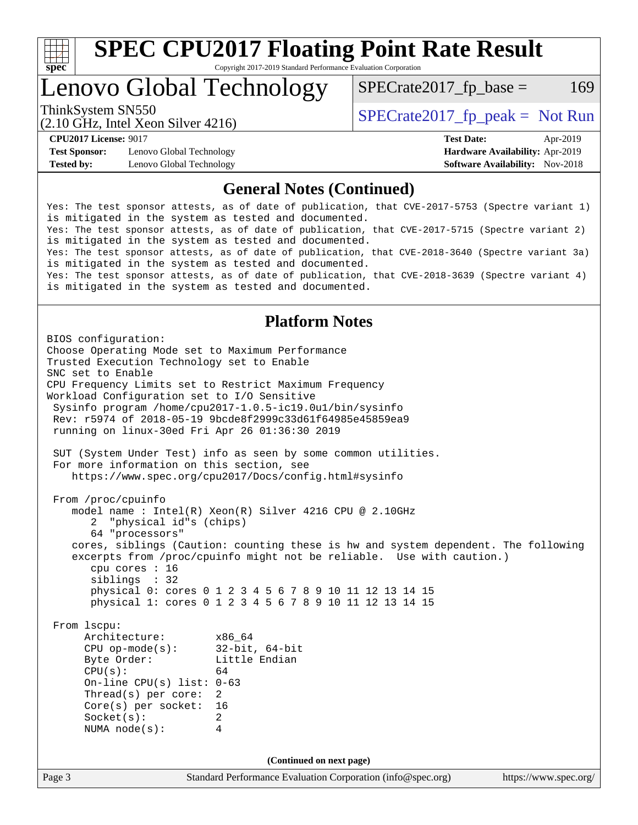

Lenovo Global Technology

 $SPECTate2017<sub>fr</sub> base = 169$ 

(2.10 GHz, Intel Xeon Silver 4216)

ThinkSystem SN550  $SPECrate2017$  fp\_peak = Not Run

**[Test Sponsor:](http://www.spec.org/auto/cpu2017/Docs/result-fields.html#TestSponsor)** Lenovo Global Technology **[Hardware Availability:](http://www.spec.org/auto/cpu2017/Docs/result-fields.html#HardwareAvailability)** Apr-2019 **[Tested by:](http://www.spec.org/auto/cpu2017/Docs/result-fields.html#Testedby)** Lenovo Global Technology **[Software Availability:](http://www.spec.org/auto/cpu2017/Docs/result-fields.html#SoftwareAvailability)** Nov-2018

**[CPU2017 License:](http://www.spec.org/auto/cpu2017/Docs/result-fields.html#CPU2017License)** 9017 **[Test Date:](http://www.spec.org/auto/cpu2017/Docs/result-fields.html#TestDate)** Apr-2019

#### **[General Notes \(Continued\)](http://www.spec.org/auto/cpu2017/Docs/result-fields.html#GeneralNotes)**

Yes: The test sponsor attests, as of date of publication, that CVE-2017-5753 (Spectre variant 1) is mitigated in the system as tested and documented. Yes: The test sponsor attests, as of date of publication, that CVE-2017-5715 (Spectre variant 2) is mitigated in the system as tested and documented. Yes: The test sponsor attests, as of date of publication, that CVE-2018-3640 (Spectre variant 3a) is mitigated in the system as tested and documented. Yes: The test sponsor attests, as of date of publication, that CVE-2018-3639 (Spectre variant 4) is mitigated in the system as tested and documented.

#### **[Platform Notes](http://www.spec.org/auto/cpu2017/Docs/result-fields.html#PlatformNotes)**

Page 3 Standard Performance Evaluation Corporation [\(info@spec.org\)](mailto:info@spec.org) <https://www.spec.org/> BIOS configuration: Choose Operating Mode set to Maximum Performance Trusted Execution Technology set to Enable SNC set to Enable CPU Frequency Limits set to Restrict Maximum Frequency Workload Configuration set to I/O Sensitive Sysinfo program /home/cpu2017-1.0.5-ic19.0u1/bin/sysinfo Rev: r5974 of 2018-05-19 9bcde8f2999c33d61f64985e45859ea9 running on linux-30ed Fri Apr 26 01:36:30 2019 SUT (System Under Test) info as seen by some common utilities. For more information on this section, see <https://www.spec.org/cpu2017/Docs/config.html#sysinfo> From /proc/cpuinfo model name : Intel(R) Xeon(R) Silver 4216 CPU @ 2.10GHz 2 "physical id"s (chips) 64 "processors" cores, siblings (Caution: counting these is hw and system dependent. The following excerpts from /proc/cpuinfo might not be reliable. Use with caution.) cpu cores : 16 siblings : 32 physical 0: cores 0 1 2 3 4 5 6 7 8 9 10 11 12 13 14 15 physical 1: cores 0 1 2 3 4 5 6 7 8 9 10 11 12 13 14 15 From lscpu: Architecture: x86\_64<br>
CPU op-mode(s): 32-bit, 64-bit CPU op-mode $(s)$ : Byte Order: Little Endian  $CPU(s):$  64 On-line CPU(s) list: 0-63 Thread(s) per core: 2 Core(s) per socket: 16 Socket(s): 2 NUMA node(s): 4 **(Continued on next page)**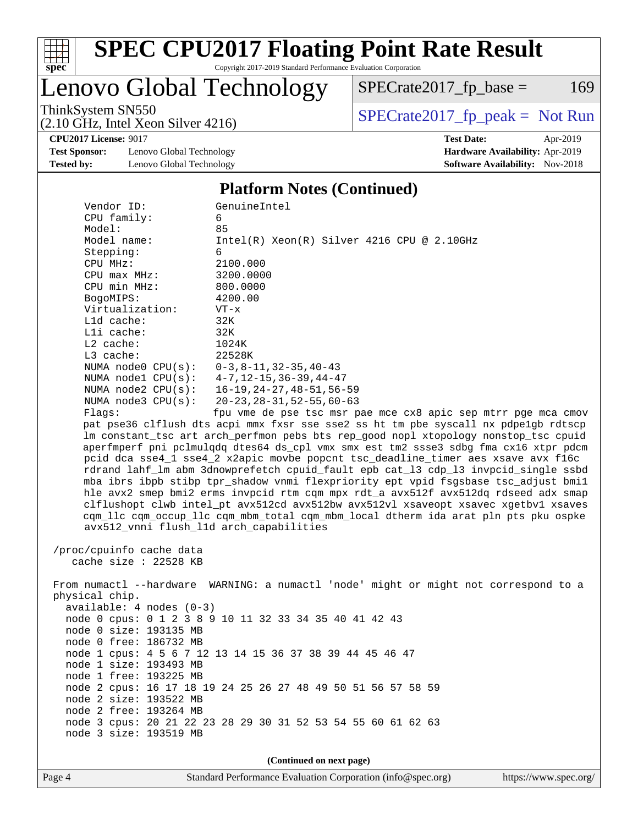

# **[SPEC CPU2017 Floating Point Rate Result](http://www.spec.org/auto/cpu2017/Docs/result-fields.html#SPECCPU2017FloatingPointRateResult)**

Copyright 2017-2019 Standard Performance Evaluation Corporation

# Lenovo Global Technology

 $SPECrate2017_fp\_base = 169$ 

(2.10 GHz, Intel Xeon Silver 4216)

ThinkSystem SN550<br>  $(2.10 \text{ GHz})$  Intel Yeon Silver 4216)

**[CPU2017 License:](http://www.spec.org/auto/cpu2017/Docs/result-fields.html#CPU2017License)** 9017 **[Test Date:](http://www.spec.org/auto/cpu2017/Docs/result-fields.html#TestDate)** Apr-2019

**[Test Sponsor:](http://www.spec.org/auto/cpu2017/Docs/result-fields.html#TestSponsor)** Lenovo Global Technology **[Hardware Availability:](http://www.spec.org/auto/cpu2017/Docs/result-fields.html#HardwareAvailability)** Apr-2019 **[Tested by:](http://www.spec.org/auto/cpu2017/Docs/result-fields.html#Testedby)** Lenovo Global Technology **[Software Availability:](http://www.spec.org/auto/cpu2017/Docs/result-fields.html#SoftwareAvailability)** Nov-2018

#### **[Platform Notes \(Continued\)](http://www.spec.org/auto/cpu2017/Docs/result-fields.html#PlatformNotes)**

| Vendor ID:                                                                           | GenuineIntel                                                                         |  |  |  |  |  |  |
|--------------------------------------------------------------------------------------|--------------------------------------------------------------------------------------|--|--|--|--|--|--|
| CPU family:                                                                          | 6                                                                                    |  |  |  |  |  |  |
| Model:                                                                               | 85                                                                                   |  |  |  |  |  |  |
| Model name:                                                                          | $Intel(R) Xeon(R) Silver 4216 CPU @ 2.10GHz$                                         |  |  |  |  |  |  |
| Stepping:                                                                            | 6                                                                                    |  |  |  |  |  |  |
| CPU MHz:                                                                             | 2100.000                                                                             |  |  |  |  |  |  |
| CPU max MHz:                                                                         | 3200.0000                                                                            |  |  |  |  |  |  |
| CPU min MHz:                                                                         | 800.0000                                                                             |  |  |  |  |  |  |
| BogoMIPS:                                                                            | 4200.00                                                                              |  |  |  |  |  |  |
| Virtualization:                                                                      | $VT - x$                                                                             |  |  |  |  |  |  |
| L1d cache:                                                                           | 32K                                                                                  |  |  |  |  |  |  |
| Lli cache:                                                                           | 32K                                                                                  |  |  |  |  |  |  |
| $L2$ cache:                                                                          | 1024K                                                                                |  |  |  |  |  |  |
| L3 cache:                                                                            | 22528K                                                                               |  |  |  |  |  |  |
| NUMA node0 CPU(s):                                                                   | $0-3, 8-11, 32-35, 40-43$                                                            |  |  |  |  |  |  |
| NUMA $model$ $CPU(s):$                                                               | 4-7,12-15,36-39,44-47                                                                |  |  |  |  |  |  |
| NUMA node2 CPU(s):                                                                   | 16–19,24–27,48–51,56–59                                                              |  |  |  |  |  |  |
| NUMA $node3$ $CPU(s):$                                                               | $20 - 23, 28 - 31, 52 - 55, 60 - 63$                                                 |  |  |  |  |  |  |
| Flags:                                                                               | fpu vme de pse tsc msr pae mce cx8 apic sep mtrr pge mca cmov                        |  |  |  |  |  |  |
|                                                                                      | pat pse36 clflush dts acpi mmx fxsr sse sse2 ss ht tm pbe syscall nx pdpelgb rdtscp  |  |  |  |  |  |  |
|                                                                                      | lm constant_tsc art arch_perfmon pebs bts rep_good nopl xtopology nonstop_tsc cpuid  |  |  |  |  |  |  |
|                                                                                      | aperfmperf pni pclmulqdq dtes64 ds_cpl vmx smx est tm2 ssse3 sdbg fma cx16 xtpr pdcm |  |  |  |  |  |  |
|                                                                                      | pcid dca sse4_1 sse4_2 x2apic movbe popcnt tsc_deadline_timer aes xsave avx f16c     |  |  |  |  |  |  |
|                                                                                      | rdrand lahf_lm abm 3dnowprefetch cpuid_fault epb cat_13 cdp_13 invpcid_single ssbd   |  |  |  |  |  |  |
|                                                                                      | mba ibrs ibpb stibp tpr_shadow vnmi flexpriority ept vpid fsgsbase tsc_adjust bmil   |  |  |  |  |  |  |
| hle avx2 smep bmi2 erms invpcid rtm cqm mpx rdt_a avx512f avx512dq rdseed adx smap   |                                                                                      |  |  |  |  |  |  |
| clflushopt clwb intel_pt avx512cd avx512bw avx512vl xsaveopt xsavec xgetbvl xsaves   |                                                                                      |  |  |  |  |  |  |
| cqm_llc cqm_occup_llc cqm_mbm_total cqm_mbm_local dtherm ida arat pln pts pku ospke  |                                                                                      |  |  |  |  |  |  |
| avx512_vnni flush_l1d arch_capabilities                                              |                                                                                      |  |  |  |  |  |  |
|                                                                                      |                                                                                      |  |  |  |  |  |  |
| /proc/cpuinfo cache data                                                             |                                                                                      |  |  |  |  |  |  |
| cache size : $22528$ KB                                                              |                                                                                      |  |  |  |  |  |  |
| From numactl --hardware WARNING: a numactl 'node' might or might not correspond to a |                                                                                      |  |  |  |  |  |  |
| physical chip.                                                                       |                                                                                      |  |  |  |  |  |  |
| $available: 4 nodes (0-3)$                                                           |                                                                                      |  |  |  |  |  |  |
|                                                                                      | node 0 cpus: 0 1 2 3 8 9 10 11 32 33 34 35 40 41 42 43                               |  |  |  |  |  |  |
| node 0 size: 193135 MB                                                               |                                                                                      |  |  |  |  |  |  |
| node 0 free: 186732 MB                                                               |                                                                                      |  |  |  |  |  |  |
| node 1 cpus: 4 5 6 7 12 13 14 15 36 37 38 39 44 45 46 47                             |                                                                                      |  |  |  |  |  |  |
| node 1 size: 193493 MB                                                               |                                                                                      |  |  |  |  |  |  |
| node 1 free: 193225 MB                                                               |                                                                                      |  |  |  |  |  |  |
|                                                                                      | node 2 cpus: 16 17 18 19 24 25 26 27 48 49 50 51 56 57 58 59                         |  |  |  |  |  |  |
| node 2 size: 193522 MB                                                               |                                                                                      |  |  |  |  |  |  |
| node 2 free: 193264 MB                                                               |                                                                                      |  |  |  |  |  |  |
|                                                                                      | node 3 cpus: 20 21 22 23 28 29 30 31 52 53 54 55 60 61 62 63                         |  |  |  |  |  |  |
| node 3 size: 193519 MB                                                               |                                                                                      |  |  |  |  |  |  |
|                                                                                      |                                                                                      |  |  |  |  |  |  |
| (Continued on next page)                                                             |                                                                                      |  |  |  |  |  |  |
|                                                                                      |                                                                                      |  |  |  |  |  |  |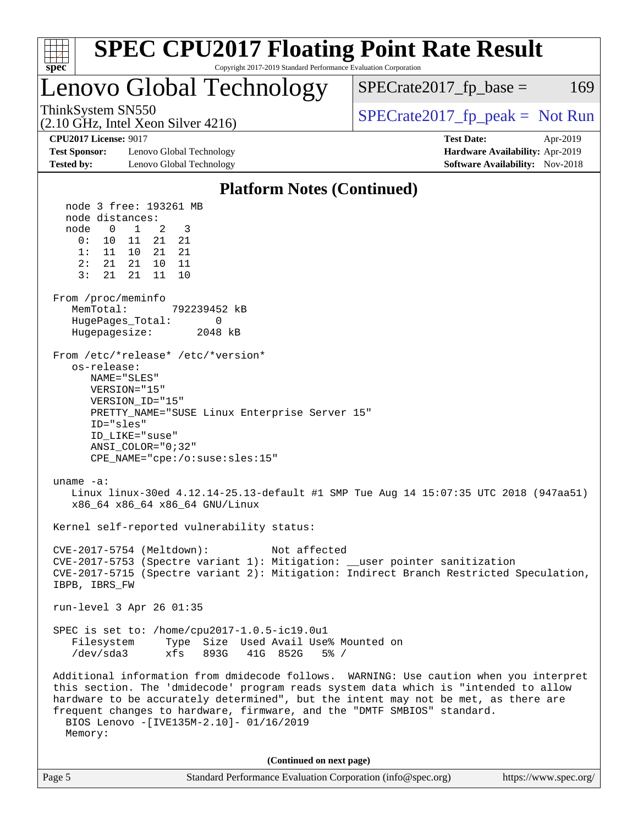| <b>SPEC CPU2017 Floating Point Rate Result</b><br>Copyright 2017-2019 Standard Performance Evaluation Corporation<br>spec <sup>®</sup>                                                                                                                                                                                                                                                                                                                                                                                                                                                                                                                                                                                                                                                                                                                                                                                                                                                                                                                                                                                                                                                                                                                                                                                                                                                                                                                                                                                              |                                                                                                     |
|-------------------------------------------------------------------------------------------------------------------------------------------------------------------------------------------------------------------------------------------------------------------------------------------------------------------------------------------------------------------------------------------------------------------------------------------------------------------------------------------------------------------------------------------------------------------------------------------------------------------------------------------------------------------------------------------------------------------------------------------------------------------------------------------------------------------------------------------------------------------------------------------------------------------------------------------------------------------------------------------------------------------------------------------------------------------------------------------------------------------------------------------------------------------------------------------------------------------------------------------------------------------------------------------------------------------------------------------------------------------------------------------------------------------------------------------------------------------------------------------------------------------------------------|-----------------------------------------------------------------------------------------------------|
| Lenovo Global Technology                                                                                                                                                                                                                                                                                                                                                                                                                                                                                                                                                                                                                                                                                                                                                                                                                                                                                                                                                                                                                                                                                                                                                                                                                                                                                                                                                                                                                                                                                                            | $SPECrate2017_fp\_base =$<br>169                                                                    |
| ThinkSystem SN550<br>$(2.10 \text{ GHz}, \text{Intel Xeon Silver } 4216)$                                                                                                                                                                                                                                                                                                                                                                                                                                                                                                                                                                                                                                                                                                                                                                                                                                                                                                                                                                                                                                                                                                                                                                                                                                                                                                                                                                                                                                                           | $SPECrate2017_fp\_peak = Not Run$                                                                   |
| <b>CPU2017 License: 9017</b><br><b>Test Sponsor:</b><br>Lenovo Global Technology<br>Tested by:<br>Lenovo Global Technology                                                                                                                                                                                                                                                                                                                                                                                                                                                                                                                                                                                                                                                                                                                                                                                                                                                                                                                                                                                                                                                                                                                                                                                                                                                                                                                                                                                                          | <b>Test Date:</b><br>Apr-2019<br>Hardware Availability: Apr-2019<br>Software Availability: Nov-2018 |
| <b>Platform Notes (Continued)</b>                                                                                                                                                                                                                                                                                                                                                                                                                                                                                                                                                                                                                                                                                                                                                                                                                                                                                                                                                                                                                                                                                                                                                                                                                                                                                                                                                                                                                                                                                                   |                                                                                                     |
| node 3 free: 193261 MB<br>node distances:<br>node<br>$\mathbf{0}$<br>1<br>2<br>3<br>0:<br>11<br>21<br>21<br>10<br>21<br>1:<br>11 10<br>21<br>21<br>10<br>2 :<br>21<br>11<br>3:<br>21<br>11<br>21<br>10<br>From /proc/meminfo<br>MemTotal:<br>792239452 kB<br>HugePages_Total:<br>0<br>Hugepagesize:<br>2048 kB<br>From /etc/*release* /etc/*version*<br>os-release:<br>NAME="SLES"<br>VERSION="15"<br>VERSION ID="15"<br>PRETTY_NAME="SUSE Linux Enterprise Server 15"<br>ID="sles"<br>ID_LIKE="suse"<br>ANSI COLOR="0;32"<br>$CPE\_NAME='cpe://o:suse: sles:15"$<br>uname $-a$ :<br>Linux linux-30ed 4.12.14-25.13-default #1 SMP Tue Aug 14 15:07:35 UTC 2018 (947aa51)<br>x86_64 x86_64 x86_64 GNU/Linux<br>Kernel self-reported vulnerability status:<br>CVE-2017-5754 (Meltdown):<br>Not affected<br>CVE-2017-5753 (Spectre variant 1): Mitigation: __user pointer sanitization<br>CVE-2017-5715 (Spectre variant 2): Mitigation: Indirect Branch Restricted Speculation,<br>IBPB, IBRS_FW<br>run-level 3 Apr 26 01:35<br>SPEC is set to: /home/cpu2017-1.0.5-ic19.0u1<br>Type Size Used Avail Use% Mounted on<br>Filesystem<br>/dev/sda3<br>xfs 893G<br>41G 852G<br>$5\%$ /<br>Additional information from dmidecode follows. WARNING: Use caution when you interpret<br>this section. The 'dmidecode' program reads system data which is "intended to allow<br>hardware to be accurately determined", but the intent may not be met, as there are<br>frequent changes to hardware, firmware, and the "DMTF SMBIOS" standard. |                                                                                                     |
| BIOS Lenovo -[IVE135M-2.10]- 01/16/2019<br>Memory:                                                                                                                                                                                                                                                                                                                                                                                                                                                                                                                                                                                                                                                                                                                                                                                                                                                                                                                                                                                                                                                                                                                                                                                                                                                                                                                                                                                                                                                                                  |                                                                                                     |
| (Continued on next page)                                                                                                                                                                                                                                                                                                                                                                                                                                                                                                                                                                                                                                                                                                                                                                                                                                                                                                                                                                                                                                                                                                                                                                                                                                                                                                                                                                                                                                                                                                            |                                                                                                     |
| Page 5<br>Standard Performance Evaluation Corporation (info@spec.org)                                                                                                                                                                                                                                                                                                                                                                                                                                                                                                                                                                                                                                                                                                                                                                                                                                                                                                                                                                                                                                                                                                                                                                                                                                                                                                                                                                                                                                                               | https://www.spec.org/                                                                               |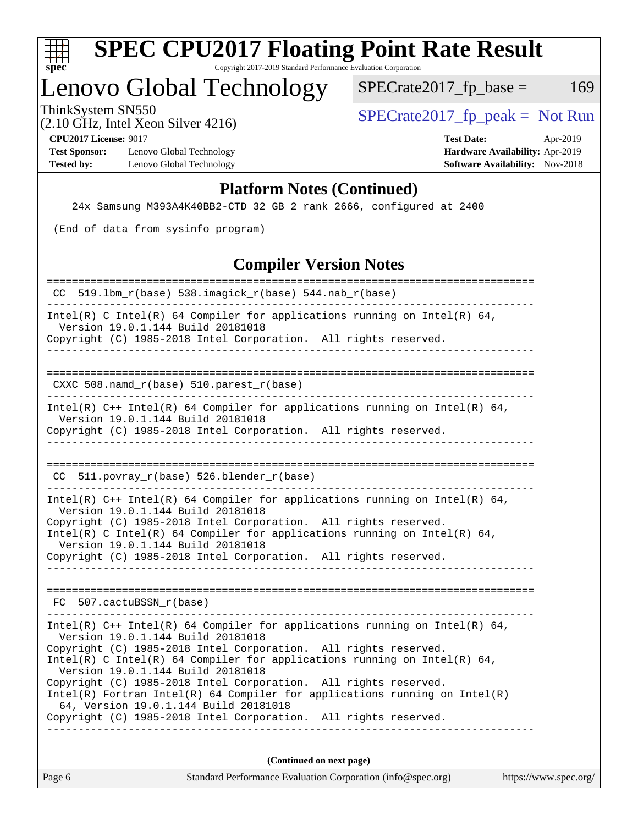

### Lenovo Global Technology

 $SPECTate2017_fp\_peak = Not Run$ 

 $SPECTate2017_fp\_base = 169$ 

# (2.10 GHz, Intel Xeon Silver 4216)

**[CPU2017 License:](http://www.spec.org/auto/cpu2017/Docs/result-fields.html#CPU2017License)** 9017 **[Test Date:](http://www.spec.org/auto/cpu2017/Docs/result-fields.html#TestDate)** Apr-2019 **[Test Sponsor:](http://www.spec.org/auto/cpu2017/Docs/result-fields.html#TestSponsor)** Lenovo Global Technology **[Hardware Availability:](http://www.spec.org/auto/cpu2017/Docs/result-fields.html#HardwareAvailability)** Apr-2019 **[Tested by:](http://www.spec.org/auto/cpu2017/Docs/result-fields.html#Testedby)** Lenovo Global Technology **[Software Availability:](http://www.spec.org/auto/cpu2017/Docs/result-fields.html#SoftwareAvailability)** Nov-2018

#### **[Platform Notes \(Continued\)](http://www.spec.org/auto/cpu2017/Docs/result-fields.html#PlatformNotes)**

24x Samsung M393A4K40BB2-CTD 32 GB 2 rank 2666, configured at 2400

(End of data from sysinfo program)

#### **[Compiler Version Notes](http://www.spec.org/auto/cpu2017/Docs/result-fields.html#CompilerVersionNotes)**

| Standard Performance Evaluation Corporation (info@spec.org)<br>Page 6                                                                                                                | https://www.spec.org/ |
|--------------------------------------------------------------------------------------------------------------------------------------------------------------------------------------|-----------------------|
| (Continued on next page)                                                                                                                                                             |                       |
| Copyright (C) 1985-2018 Intel Corporation. All rights reserved.                                                                                                                      |                       |
| $Intel(R)$ Fortran Intel(R) 64 Compiler for applications running on Intel(R)<br>64, Version 19.0.1.144 Build 20181018                                                                |                       |
| Version 19.0.1.144 Build 20181018<br>Copyright (C) 1985-2018 Intel Corporation. All rights reserved.                                                                                 |                       |
| Copyright (C) 1985-2018 Intel Corporation. All rights reserved.<br>Intel(R) C Intel(R) 64 Compiler for applications running on Intel(R) 64,                                          |                       |
| Intel(R) $C++$ Intel(R) 64 Compiler for applications running on Intel(R) 64,<br>Version 19.0.1.144 Build 20181018                                                                    |                       |
| FC 507.cactuBSSN r(base)                                                                                                                                                             |                       |
|                                                                                                                                                                                      |                       |
| Copyright (C) 1985-2018 Intel Corporation. All rights reserved.                                                                                                                      |                       |
| Intel(R) C Intel(R) 64 Compiler for applications running on Intel(R) 64,<br>Version 19.0.1.144 Build 20181018                                                                        |                       |
| Version 19.0.1.144 Build 20181018<br>Copyright (C) 1985-2018 Intel Corporation. All rights reserved.                                                                                 |                       |
| Intel(R) $C++$ Intel(R) 64 Compiler for applications running on Intel(R) 64,                                                                                                         |                       |
| CC 511.povray_r(base) 526.blender_r(base)                                                                                                                                            |                       |
|                                                                                                                                                                                      |                       |
| Intel(R) $C++$ Intel(R) 64 Compiler for applications running on Intel(R) 64,<br>Version 19.0.1.144 Build 20181018<br>Copyright (C) 1985-2018 Intel Corporation. All rights reserved. |                       |
| CXXC 508.namd_r(base) 510.parest_r(base)                                                                                                                                             |                       |
| -----------------------------------                                                                                                                                                  |                       |
| Version 19.0.1.144 Build 20181018<br>Copyright (C) 1985-2018 Intel Corporation. All rights reserved.                                                                                 |                       |
| Intel(R) C Intel(R) 64 Compiler for applications running on Intel(R) 64,                                                                                                             |                       |
| CC 519.1bm_r(base) 538.imagick_r(base) 544.nab_r(base)                                                                                                                               |                       |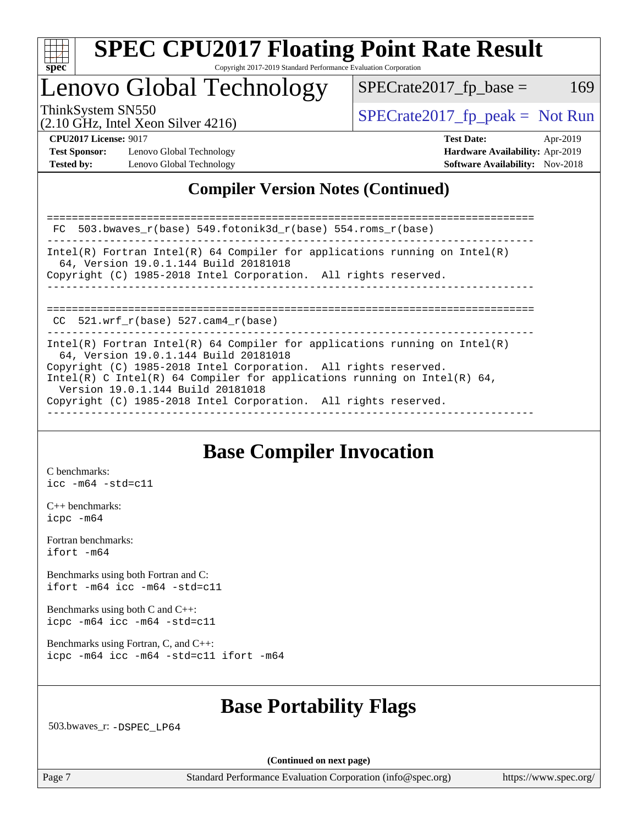

### Lenovo Global Technology

ThinkSystem SN550  $SPECrate2017$  fp\_peak = Not Run

 $SPECTate2017<sub>fr</sub> base = 169$ 

(2.10 GHz, Intel Xeon Silver 4216)

**[Test Sponsor:](http://www.spec.org/auto/cpu2017/Docs/result-fields.html#TestSponsor)** Lenovo Global Technology **[Hardware Availability:](http://www.spec.org/auto/cpu2017/Docs/result-fields.html#HardwareAvailability)** Apr-2019 **[Tested by:](http://www.spec.org/auto/cpu2017/Docs/result-fields.html#Testedby)** Lenovo Global Technology **[Software Availability:](http://www.spec.org/auto/cpu2017/Docs/result-fields.html#SoftwareAvailability)** Nov-2018

**[CPU2017 License:](http://www.spec.org/auto/cpu2017/Docs/result-fields.html#CPU2017License)** 9017 **[Test Date:](http://www.spec.org/auto/cpu2017/Docs/result-fields.html#TestDate)** Apr-2019

### **[Compiler Version Notes \(Continued\)](http://www.spec.org/auto/cpu2017/Docs/result-fields.html#CompilerVersionNotes)**

============================================================================== FC 503.bwaves\_r(base) 549.fotonik3d\_r(base) 554.roms\_r(base) ------------------------------------------------------------------------------ Intel(R) Fortran Intel(R) 64 Compiler for applications running on Intel(R) 64, Version 19.0.1.144 Build 20181018 Copyright (C) 1985-2018 Intel Corporation. All rights reserved. ------------------------------------------------------------------------------ ============================================================================== CC 521.wrf\_r(base) 527.cam4\_r(base) ------------------------------------------------------------------------------ Intel(R) Fortran Intel(R)  $64$  Compiler for applications running on Intel(R) 64, Version 19.0.1.144 Build 20181018 Copyright (C) 1985-2018 Intel Corporation. All rights reserved. Intel(R) C Intel(R) 64 Compiler for applications running on Intel(R) 64, Version 19.0.1.144 Build 20181018 Copyright (C) 1985-2018 Intel Corporation. All rights reserved. ------------------------------------------------------------------------------

### **[Base Compiler Invocation](http://www.spec.org/auto/cpu2017/Docs/result-fields.html#BaseCompilerInvocation)**

[C benchmarks](http://www.spec.org/auto/cpu2017/Docs/result-fields.html#Cbenchmarks): [icc -m64 -std=c11](http://www.spec.org/cpu2017/results/res2019q2/cpu2017-20190429-13115.flags.html#user_CCbase_intel_icc_64bit_c11_33ee0cdaae7deeeab2a9725423ba97205ce30f63b9926c2519791662299b76a0318f32ddfffdc46587804de3178b4f9328c46fa7c2b0cd779d7a61945c91cd35)

[C++ benchmarks:](http://www.spec.org/auto/cpu2017/Docs/result-fields.html#CXXbenchmarks) [icpc -m64](http://www.spec.org/cpu2017/results/res2019q2/cpu2017-20190429-13115.flags.html#user_CXXbase_intel_icpc_64bit_4ecb2543ae3f1412ef961e0650ca070fec7b7afdcd6ed48761b84423119d1bf6bdf5cad15b44d48e7256388bc77273b966e5eb805aefd121eb22e9299b2ec9d9)

[Fortran benchmarks](http://www.spec.org/auto/cpu2017/Docs/result-fields.html#Fortranbenchmarks): [ifort -m64](http://www.spec.org/cpu2017/results/res2019q2/cpu2017-20190429-13115.flags.html#user_FCbase_intel_ifort_64bit_24f2bb282fbaeffd6157abe4f878425411749daecae9a33200eee2bee2fe76f3b89351d69a8130dd5949958ce389cf37ff59a95e7a40d588e8d3a57e0c3fd751)

[Benchmarks using both Fortran and C](http://www.spec.org/auto/cpu2017/Docs/result-fields.html#BenchmarksusingbothFortranandC): [ifort -m64](http://www.spec.org/cpu2017/results/res2019q2/cpu2017-20190429-13115.flags.html#user_CC_FCbase_intel_ifort_64bit_24f2bb282fbaeffd6157abe4f878425411749daecae9a33200eee2bee2fe76f3b89351d69a8130dd5949958ce389cf37ff59a95e7a40d588e8d3a57e0c3fd751) [icc -m64 -std=c11](http://www.spec.org/cpu2017/results/res2019q2/cpu2017-20190429-13115.flags.html#user_CC_FCbase_intel_icc_64bit_c11_33ee0cdaae7deeeab2a9725423ba97205ce30f63b9926c2519791662299b76a0318f32ddfffdc46587804de3178b4f9328c46fa7c2b0cd779d7a61945c91cd35)

[Benchmarks using both C and C++](http://www.spec.org/auto/cpu2017/Docs/result-fields.html#BenchmarksusingbothCandCXX): [icpc -m64](http://www.spec.org/cpu2017/results/res2019q2/cpu2017-20190429-13115.flags.html#user_CC_CXXbase_intel_icpc_64bit_4ecb2543ae3f1412ef961e0650ca070fec7b7afdcd6ed48761b84423119d1bf6bdf5cad15b44d48e7256388bc77273b966e5eb805aefd121eb22e9299b2ec9d9) [icc -m64 -std=c11](http://www.spec.org/cpu2017/results/res2019q2/cpu2017-20190429-13115.flags.html#user_CC_CXXbase_intel_icc_64bit_c11_33ee0cdaae7deeeab2a9725423ba97205ce30f63b9926c2519791662299b76a0318f32ddfffdc46587804de3178b4f9328c46fa7c2b0cd779d7a61945c91cd35)

[Benchmarks using Fortran, C, and C++:](http://www.spec.org/auto/cpu2017/Docs/result-fields.html#BenchmarksusingFortranCandCXX) [icpc -m64](http://www.spec.org/cpu2017/results/res2019q2/cpu2017-20190429-13115.flags.html#user_CC_CXX_FCbase_intel_icpc_64bit_4ecb2543ae3f1412ef961e0650ca070fec7b7afdcd6ed48761b84423119d1bf6bdf5cad15b44d48e7256388bc77273b966e5eb805aefd121eb22e9299b2ec9d9) [icc -m64 -std=c11](http://www.spec.org/cpu2017/results/res2019q2/cpu2017-20190429-13115.flags.html#user_CC_CXX_FCbase_intel_icc_64bit_c11_33ee0cdaae7deeeab2a9725423ba97205ce30f63b9926c2519791662299b76a0318f32ddfffdc46587804de3178b4f9328c46fa7c2b0cd779d7a61945c91cd35) [ifort -m64](http://www.spec.org/cpu2017/results/res2019q2/cpu2017-20190429-13115.flags.html#user_CC_CXX_FCbase_intel_ifort_64bit_24f2bb282fbaeffd6157abe4f878425411749daecae9a33200eee2bee2fe76f3b89351d69a8130dd5949958ce389cf37ff59a95e7a40d588e8d3a57e0c3fd751)

### **[Base Portability Flags](http://www.spec.org/auto/cpu2017/Docs/result-fields.html#BasePortabilityFlags)**

503.bwaves\_r: [-DSPEC\\_LP64](http://www.spec.org/cpu2017/results/res2019q2/cpu2017-20190429-13115.flags.html#suite_basePORTABILITY503_bwaves_r_DSPEC_LP64)

**(Continued on next page)**

Page 7 Standard Performance Evaluation Corporation [\(info@spec.org\)](mailto:info@spec.org) <https://www.spec.org/>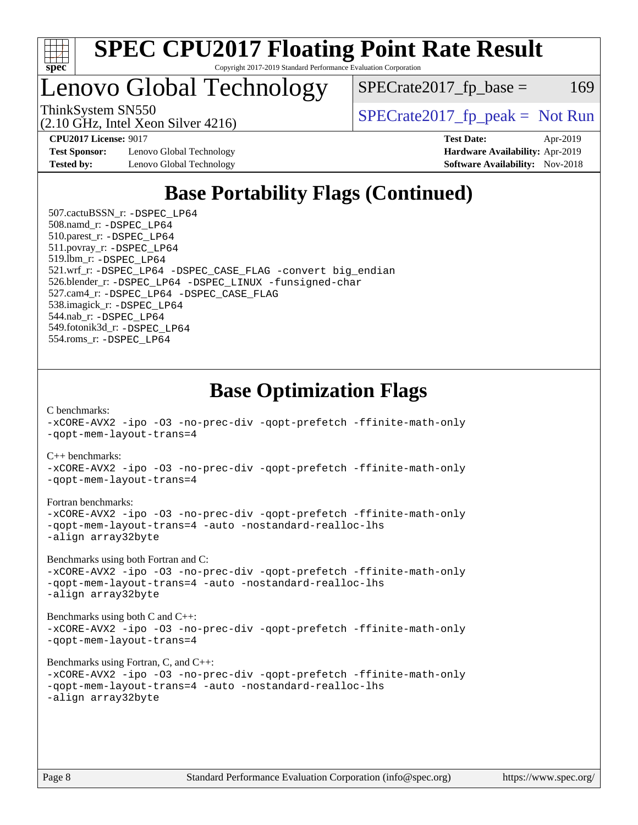

## Lenovo Global Technology

 $SPECTate2017<sub>fr</sub> base = 169$ 

(2.10 GHz, Intel Xeon Silver 4216)

ThinkSystem SN550<br>  $SPECrate2017$  fp\_peak = Not Run

**[Test Sponsor:](http://www.spec.org/auto/cpu2017/Docs/result-fields.html#TestSponsor)** Lenovo Global Technology **[Hardware Availability:](http://www.spec.org/auto/cpu2017/Docs/result-fields.html#HardwareAvailability)** Apr-2019 **[Tested by:](http://www.spec.org/auto/cpu2017/Docs/result-fields.html#Testedby)** Lenovo Global Technology **[Software Availability:](http://www.spec.org/auto/cpu2017/Docs/result-fields.html#SoftwareAvailability)** Nov-2018

**[CPU2017 License:](http://www.spec.org/auto/cpu2017/Docs/result-fields.html#CPU2017License)** 9017 **[Test Date:](http://www.spec.org/auto/cpu2017/Docs/result-fields.html#TestDate)** Apr-2019

### **[Base Portability Flags \(Continued\)](http://www.spec.org/auto/cpu2017/Docs/result-fields.html#BasePortabilityFlags)**

 507.cactuBSSN\_r: [-DSPEC\\_LP64](http://www.spec.org/cpu2017/results/res2019q2/cpu2017-20190429-13115.flags.html#suite_basePORTABILITY507_cactuBSSN_r_DSPEC_LP64) 508.namd\_r: [-DSPEC\\_LP64](http://www.spec.org/cpu2017/results/res2019q2/cpu2017-20190429-13115.flags.html#suite_basePORTABILITY508_namd_r_DSPEC_LP64) 510.parest\_r: [-DSPEC\\_LP64](http://www.spec.org/cpu2017/results/res2019q2/cpu2017-20190429-13115.flags.html#suite_basePORTABILITY510_parest_r_DSPEC_LP64) 511.povray\_r: [-DSPEC\\_LP64](http://www.spec.org/cpu2017/results/res2019q2/cpu2017-20190429-13115.flags.html#suite_basePORTABILITY511_povray_r_DSPEC_LP64) 519.lbm\_r: [-DSPEC\\_LP64](http://www.spec.org/cpu2017/results/res2019q2/cpu2017-20190429-13115.flags.html#suite_basePORTABILITY519_lbm_r_DSPEC_LP64) 521.wrf\_r: [-DSPEC\\_LP64](http://www.spec.org/cpu2017/results/res2019q2/cpu2017-20190429-13115.flags.html#suite_basePORTABILITY521_wrf_r_DSPEC_LP64) [-DSPEC\\_CASE\\_FLAG](http://www.spec.org/cpu2017/results/res2019q2/cpu2017-20190429-13115.flags.html#b521.wrf_r_baseCPORTABILITY_DSPEC_CASE_FLAG) [-convert big\\_endian](http://www.spec.org/cpu2017/results/res2019q2/cpu2017-20190429-13115.flags.html#user_baseFPORTABILITY521_wrf_r_convert_big_endian_c3194028bc08c63ac5d04de18c48ce6d347e4e562e8892b8bdbdc0214820426deb8554edfa529a3fb25a586e65a3d812c835984020483e7e73212c4d31a38223) 526.blender\_r: [-DSPEC\\_LP64](http://www.spec.org/cpu2017/results/res2019q2/cpu2017-20190429-13115.flags.html#suite_basePORTABILITY526_blender_r_DSPEC_LP64) [-DSPEC\\_LINUX](http://www.spec.org/cpu2017/results/res2019q2/cpu2017-20190429-13115.flags.html#b526.blender_r_baseCPORTABILITY_DSPEC_LINUX) [-funsigned-char](http://www.spec.org/cpu2017/results/res2019q2/cpu2017-20190429-13115.flags.html#user_baseCPORTABILITY526_blender_r_force_uchar_40c60f00ab013830e2dd6774aeded3ff59883ba5a1fc5fc14077f794d777847726e2a5858cbc7672e36e1b067e7e5c1d9a74f7176df07886a243d7cc18edfe67) 527.cam4\_r: [-DSPEC\\_LP64](http://www.spec.org/cpu2017/results/res2019q2/cpu2017-20190429-13115.flags.html#suite_basePORTABILITY527_cam4_r_DSPEC_LP64) [-DSPEC\\_CASE\\_FLAG](http://www.spec.org/cpu2017/results/res2019q2/cpu2017-20190429-13115.flags.html#b527.cam4_r_baseCPORTABILITY_DSPEC_CASE_FLAG) 538.imagick\_r: [-DSPEC\\_LP64](http://www.spec.org/cpu2017/results/res2019q2/cpu2017-20190429-13115.flags.html#suite_basePORTABILITY538_imagick_r_DSPEC_LP64) 544.nab\_r: [-DSPEC\\_LP64](http://www.spec.org/cpu2017/results/res2019q2/cpu2017-20190429-13115.flags.html#suite_basePORTABILITY544_nab_r_DSPEC_LP64) 549.fotonik3d\_r: [-DSPEC\\_LP64](http://www.spec.org/cpu2017/results/res2019q2/cpu2017-20190429-13115.flags.html#suite_basePORTABILITY549_fotonik3d_r_DSPEC_LP64) 554.roms\_r: [-DSPEC\\_LP64](http://www.spec.org/cpu2017/results/res2019q2/cpu2017-20190429-13115.flags.html#suite_basePORTABILITY554_roms_r_DSPEC_LP64)

### **[Base Optimization Flags](http://www.spec.org/auto/cpu2017/Docs/result-fields.html#BaseOptimizationFlags)**

[C benchmarks](http://www.spec.org/auto/cpu2017/Docs/result-fields.html#Cbenchmarks): [-xCORE-AVX2](http://www.spec.org/cpu2017/results/res2019q2/cpu2017-20190429-13115.flags.html#user_CCbase_f-xCORE-AVX2) [-ipo](http://www.spec.org/cpu2017/results/res2019q2/cpu2017-20190429-13115.flags.html#user_CCbase_f-ipo) [-O3](http://www.spec.org/cpu2017/results/res2019q2/cpu2017-20190429-13115.flags.html#user_CCbase_f-O3) [-no-prec-div](http://www.spec.org/cpu2017/results/res2019q2/cpu2017-20190429-13115.flags.html#user_CCbase_f-no-prec-div) [-qopt-prefetch](http://www.spec.org/cpu2017/results/res2019q2/cpu2017-20190429-13115.flags.html#user_CCbase_f-qopt-prefetch) [-ffinite-math-only](http://www.spec.org/cpu2017/results/res2019q2/cpu2017-20190429-13115.flags.html#user_CCbase_f_finite_math_only_cb91587bd2077682c4b38af759c288ed7c732db004271a9512da14a4f8007909a5f1427ecbf1a0fb78ff2a814402c6114ac565ca162485bbcae155b5e4258871) [-qopt-mem-layout-trans=4](http://www.spec.org/cpu2017/results/res2019q2/cpu2017-20190429-13115.flags.html#user_CCbase_f-qopt-mem-layout-trans_fa39e755916c150a61361b7846f310bcdf6f04e385ef281cadf3647acec3f0ae266d1a1d22d972a7087a248fd4e6ca390a3634700869573d231a252c784941a8)

[C++ benchmarks:](http://www.spec.org/auto/cpu2017/Docs/result-fields.html#CXXbenchmarks)

[-xCORE-AVX2](http://www.spec.org/cpu2017/results/res2019q2/cpu2017-20190429-13115.flags.html#user_CXXbase_f-xCORE-AVX2) [-ipo](http://www.spec.org/cpu2017/results/res2019q2/cpu2017-20190429-13115.flags.html#user_CXXbase_f-ipo) [-O3](http://www.spec.org/cpu2017/results/res2019q2/cpu2017-20190429-13115.flags.html#user_CXXbase_f-O3) [-no-prec-div](http://www.spec.org/cpu2017/results/res2019q2/cpu2017-20190429-13115.flags.html#user_CXXbase_f-no-prec-div) [-qopt-prefetch](http://www.spec.org/cpu2017/results/res2019q2/cpu2017-20190429-13115.flags.html#user_CXXbase_f-qopt-prefetch) [-ffinite-math-only](http://www.spec.org/cpu2017/results/res2019q2/cpu2017-20190429-13115.flags.html#user_CXXbase_f_finite_math_only_cb91587bd2077682c4b38af759c288ed7c732db004271a9512da14a4f8007909a5f1427ecbf1a0fb78ff2a814402c6114ac565ca162485bbcae155b5e4258871) [-qopt-mem-layout-trans=4](http://www.spec.org/cpu2017/results/res2019q2/cpu2017-20190429-13115.flags.html#user_CXXbase_f-qopt-mem-layout-trans_fa39e755916c150a61361b7846f310bcdf6f04e385ef281cadf3647acec3f0ae266d1a1d22d972a7087a248fd4e6ca390a3634700869573d231a252c784941a8)

#### [Fortran benchmarks](http://www.spec.org/auto/cpu2017/Docs/result-fields.html#Fortranbenchmarks):

[-xCORE-AVX2](http://www.spec.org/cpu2017/results/res2019q2/cpu2017-20190429-13115.flags.html#user_FCbase_f-xCORE-AVX2) [-ipo](http://www.spec.org/cpu2017/results/res2019q2/cpu2017-20190429-13115.flags.html#user_FCbase_f-ipo) [-O3](http://www.spec.org/cpu2017/results/res2019q2/cpu2017-20190429-13115.flags.html#user_FCbase_f-O3) [-no-prec-div](http://www.spec.org/cpu2017/results/res2019q2/cpu2017-20190429-13115.flags.html#user_FCbase_f-no-prec-div) [-qopt-prefetch](http://www.spec.org/cpu2017/results/res2019q2/cpu2017-20190429-13115.flags.html#user_FCbase_f-qopt-prefetch) [-ffinite-math-only](http://www.spec.org/cpu2017/results/res2019q2/cpu2017-20190429-13115.flags.html#user_FCbase_f_finite_math_only_cb91587bd2077682c4b38af759c288ed7c732db004271a9512da14a4f8007909a5f1427ecbf1a0fb78ff2a814402c6114ac565ca162485bbcae155b5e4258871) [-qopt-mem-layout-trans=4](http://www.spec.org/cpu2017/results/res2019q2/cpu2017-20190429-13115.flags.html#user_FCbase_f-qopt-mem-layout-trans_fa39e755916c150a61361b7846f310bcdf6f04e385ef281cadf3647acec3f0ae266d1a1d22d972a7087a248fd4e6ca390a3634700869573d231a252c784941a8) [-auto](http://www.spec.org/cpu2017/results/res2019q2/cpu2017-20190429-13115.flags.html#user_FCbase_f-auto) [-nostandard-realloc-lhs](http://www.spec.org/cpu2017/results/res2019q2/cpu2017-20190429-13115.flags.html#user_FCbase_f_2003_std_realloc_82b4557e90729c0f113870c07e44d33d6f5a304b4f63d4c15d2d0f1fab99f5daaed73bdb9275d9ae411527f28b936061aa8b9c8f2d63842963b95c9dd6426b8a) [-align array32byte](http://www.spec.org/cpu2017/results/res2019q2/cpu2017-20190429-13115.flags.html#user_FCbase_align_array32byte_b982fe038af199962ba9a80c053b8342c548c85b40b8e86eb3cc33dee0d7986a4af373ac2d51c3f7cf710a18d62fdce2948f201cd044323541f22fc0fffc51b6)

[Benchmarks using both Fortran and C](http://www.spec.org/auto/cpu2017/Docs/result-fields.html#BenchmarksusingbothFortranandC):

[-xCORE-AVX2](http://www.spec.org/cpu2017/results/res2019q2/cpu2017-20190429-13115.flags.html#user_CC_FCbase_f-xCORE-AVX2) [-ipo](http://www.spec.org/cpu2017/results/res2019q2/cpu2017-20190429-13115.flags.html#user_CC_FCbase_f-ipo) [-O3](http://www.spec.org/cpu2017/results/res2019q2/cpu2017-20190429-13115.flags.html#user_CC_FCbase_f-O3) [-no-prec-div](http://www.spec.org/cpu2017/results/res2019q2/cpu2017-20190429-13115.flags.html#user_CC_FCbase_f-no-prec-div) [-qopt-prefetch](http://www.spec.org/cpu2017/results/res2019q2/cpu2017-20190429-13115.flags.html#user_CC_FCbase_f-qopt-prefetch) [-ffinite-math-only](http://www.spec.org/cpu2017/results/res2019q2/cpu2017-20190429-13115.flags.html#user_CC_FCbase_f_finite_math_only_cb91587bd2077682c4b38af759c288ed7c732db004271a9512da14a4f8007909a5f1427ecbf1a0fb78ff2a814402c6114ac565ca162485bbcae155b5e4258871) [-qopt-mem-layout-trans=4](http://www.spec.org/cpu2017/results/res2019q2/cpu2017-20190429-13115.flags.html#user_CC_FCbase_f-qopt-mem-layout-trans_fa39e755916c150a61361b7846f310bcdf6f04e385ef281cadf3647acec3f0ae266d1a1d22d972a7087a248fd4e6ca390a3634700869573d231a252c784941a8) [-auto](http://www.spec.org/cpu2017/results/res2019q2/cpu2017-20190429-13115.flags.html#user_CC_FCbase_f-auto) [-nostandard-realloc-lhs](http://www.spec.org/cpu2017/results/res2019q2/cpu2017-20190429-13115.flags.html#user_CC_FCbase_f_2003_std_realloc_82b4557e90729c0f113870c07e44d33d6f5a304b4f63d4c15d2d0f1fab99f5daaed73bdb9275d9ae411527f28b936061aa8b9c8f2d63842963b95c9dd6426b8a) [-align array32byte](http://www.spec.org/cpu2017/results/res2019q2/cpu2017-20190429-13115.flags.html#user_CC_FCbase_align_array32byte_b982fe038af199962ba9a80c053b8342c548c85b40b8e86eb3cc33dee0d7986a4af373ac2d51c3f7cf710a18d62fdce2948f201cd044323541f22fc0fffc51b6)

[Benchmarks using both C and C++](http://www.spec.org/auto/cpu2017/Docs/result-fields.html#BenchmarksusingbothCandCXX): [-xCORE-AVX2](http://www.spec.org/cpu2017/results/res2019q2/cpu2017-20190429-13115.flags.html#user_CC_CXXbase_f-xCORE-AVX2) [-ipo](http://www.spec.org/cpu2017/results/res2019q2/cpu2017-20190429-13115.flags.html#user_CC_CXXbase_f-ipo) [-O3](http://www.spec.org/cpu2017/results/res2019q2/cpu2017-20190429-13115.flags.html#user_CC_CXXbase_f-O3) [-no-prec-div](http://www.spec.org/cpu2017/results/res2019q2/cpu2017-20190429-13115.flags.html#user_CC_CXXbase_f-no-prec-div) [-qopt-prefetch](http://www.spec.org/cpu2017/results/res2019q2/cpu2017-20190429-13115.flags.html#user_CC_CXXbase_f-qopt-prefetch) [-ffinite-math-only](http://www.spec.org/cpu2017/results/res2019q2/cpu2017-20190429-13115.flags.html#user_CC_CXXbase_f_finite_math_only_cb91587bd2077682c4b38af759c288ed7c732db004271a9512da14a4f8007909a5f1427ecbf1a0fb78ff2a814402c6114ac565ca162485bbcae155b5e4258871) [-qopt-mem-layout-trans=4](http://www.spec.org/cpu2017/results/res2019q2/cpu2017-20190429-13115.flags.html#user_CC_CXXbase_f-qopt-mem-layout-trans_fa39e755916c150a61361b7846f310bcdf6f04e385ef281cadf3647acec3f0ae266d1a1d22d972a7087a248fd4e6ca390a3634700869573d231a252c784941a8)

[Benchmarks using Fortran, C, and C++:](http://www.spec.org/auto/cpu2017/Docs/result-fields.html#BenchmarksusingFortranCandCXX)

```
-xCORE-AVX2 -ipo -O3 -no-prec-div -qopt-prefetch -ffinite-math-only
-qopt-mem-layout-trans=4 -auto -nostandard-realloc-lhs
-align array32byte
```